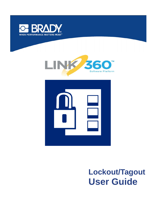





# **User Guide Lockout/Tagout**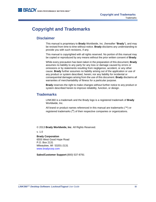# <span id="page-2-1"></span><span id="page-2-0"></span>**Copyright and Trademarks**

## **Disclaimer**

This manual is proprietary to **Brady** Worldwide, Inc. (hereafter "**Brady**"), and may be revised from time to time without notice. **Brady** disclaims any understanding to provide you with such revisions, if any.

This manual is copyrighted with all rights reserved. No portion of this manual may be copied or reproduced by any means without the prior written consent of **Brady**.

While every precaution has been taken in the preparation of this document, **Brady** assumes no liability to any party for any loss or damage caused by errors or omissions or by statements resulting from negligence, accident, or any other cause. **Brady** further assumes no liability arising out of the application or use of any product or system described, herein; nor any liability for incidental or consequential damages arising from the use of this document. **Brady** disclaims all warranties of merchantability of fitness for a particular purpose.

**Brady** reserves the right to make changes without further notice to any product or system described herein to improve reliability, function, or design.

### <span id="page-2-2"></span>**Trademarks**

LINK360 is a trademark and the Brady logo is a registered trademark of **Brady** Worldwide, Inc.

All brand or product names referenced in this manual are trademarks (™) or registered trademarks  $($ <sup>®</sup>) of their respective companies or organizations.

© 2013 **Brady Worldwide, Inc**. All Rights Reserved.

v. 1.0

**Brady Corporation** 6555 West Good Hope Road P.O. Box 2131 Milwaukee, WI 53201-2131 www.bradycorp.com

**Sales/Customer Support**:(800) 537-8791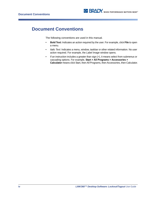# <span id="page-3-0"></span>**Document Conventions**

The following conventions are used in this manual.

- **Bold Text:** Indicates an action required by the user. For example, click **File** to open a menu.
- *Italic Text:* Indicates a menu, window, taskbar or other related information. No user action required. For example, the *Label Image* window opens.
- If an instruction includes a greater than sign (>), it means select from submenus or cascading options. For example, **Start > All Programs > Accessories > Calculator** means click Start, then All Programs, then Accessories, then Calculator.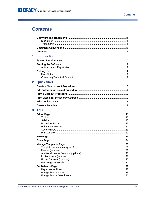# <span id="page-4-0"></span>**Contents**

| 1              | <b>Introduction</b> |  |
|----------------|---------------------|--|
|                |                     |  |
|                |                     |  |
|                |                     |  |
| $\mathbf{2}$   | <b>Quick Start</b>  |  |
|                |                     |  |
|                |                     |  |
|                |                     |  |
|                |                     |  |
|                |                     |  |
|                |                     |  |
|                |                     |  |
| 3 <sup>1</sup> | <b>Tour</b>         |  |
|                |                     |  |
|                |                     |  |
|                |                     |  |
|                |                     |  |
|                |                     |  |
|                |                     |  |
|                |                     |  |
|                |                     |  |
|                |                     |  |
|                |                     |  |
|                |                     |  |
|                |                     |  |
|                |                     |  |
|                |                     |  |
|                |                     |  |
|                |                     |  |
|                |                     |  |
|                |                     |  |
|                |                     |  |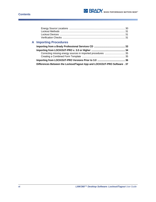| $\mathbf{r}$ and $\mathbf{r}$ are $\mathbf{r}$ and $\mathbf{r}$ are all $\mathbf{r}$ and $\mathbf{r}$ are all $\mathbf{r}$ and $\mathbf{r}$ are all $\mathbf{r}$ and $\mathbf{r}$ are all $\mathbf{r}$ and $\mathbf{r}$ are all $\mathbf{r}$ and $\mathbf{r}$ are all $\mathbf{r}$ and $\$ |  |
|--------------------------------------------------------------------------------------------------------------------------------------------------------------------------------------------------------------------------------------------------------------------------------------------|--|

### **[A Importing Procedures](#page-38-0)**

| Differences Between the Lockout/Tagout App and LOCKOUT-PRO Software .37 |  |
|-------------------------------------------------------------------------|--|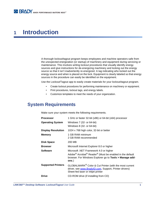# <span id="page-6-0"></span>**1 Introduction**

A thorough lockout/tagout program keeps employees and machine operators safe from the unexpected energization (or startup) of machinery and equipment during servicing or maintenance. This involves writing lockout procedures that visually identify energy sources and give instructions for de-energizing machinery and locking out the energy source so that it isn't inadvertently re-energized. A tag indicating who locked out the energy source and when is placed on the lock. Equipment is clearly labeled so that energy sources in the procedure can easily be identified on the equipment.

Use the Lockout/Tagout app to easily create materials for your lockout/tagout program.

- Create lockout procedures for performing maintenance on machinery or equipment.
- Print procedures, lockout tags, and energy labels.
- Customize templates to meet the needs of your organization.

# <span id="page-6-1"></span>**System Requirements**

Make sure your system meets the following requirements.

| <b>Processor</b>          | 1 GHz or faster 32-bit (x86) or 64-bit (x64) processor                                                                                                                                                    |
|---------------------------|-----------------------------------------------------------------------------------------------------------------------------------------------------------------------------------------------------------|
| <b>Operating System</b>   | Windows 7 (32- or 64-bit)<br>Windows 8 (32- or 64-bit)                                                                                                                                                    |
|                           |                                                                                                                                                                                                           |
| <b>Display Resolution</b> | 1024 x 768 high color, 32-bit or better                                                                                                                                                                   |
| <b>Memory</b>             | 1 GB RAM minimum<br>2 GB RAM recommended                                                                                                                                                                  |
| <b>Disk Space</b>         | 200 MB                                                                                                                                                                                                    |
| <b>Browser</b>            | Microsoft Internet Explorer 8.0 or higher                                                                                                                                                                 |
| <b>Software</b>           | Microsoft .NET Framework 4.0 or higher<br>Adobe <sup>®</sup> Acrobat <sup>®</sup> Reader <sup>®</sup> (Must be enabled in the default<br>browser. For Windows Explorer go to Tools > Manage add-<br>ons.) |
| <b>Supported Printers</b> | GLOBALMARK <sup>®</sup> Color & Cut Printer (with the most current<br>driver, see www.BradylD.com, Support, Printer drivers)<br>Sheet-fed laser or inkjet printer                                         |
| <b>Drive</b>              | CD-ROM drive (if installing from CD)                                                                                                                                                                      |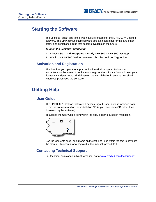# <span id="page-7-5"></span><span id="page-7-0"></span>**Starting the Software**

The Lockout/Tagout app is the first in a suite of apps for the LINK360™ Desktop software. The LINK360 Desktop software acts as a container for this and other safety and compliance apps that become available in the future.

#### *To open the Lockout/Tagout app:*

- 1. Choose **Start > All Programs > Brady LINK360 > LINK360 Desktop**.
- 2. Within the LINK360 Desktop software, click the **Lockout/Tagout** icon.

### <span id="page-7-1"></span>**Activation and Registration**

The first time you open the app an activation window opens. Follow the instructions on the screen to activate and register the software. You will need your license ID and password. Find these on the DVD label or in an email received when you purchased the software.

# <span id="page-7-3"></span><span id="page-7-2"></span>**Getting Help**

### **User Guide**

The LINK360™ Desktop Software: Lockout/Tagout User Guide is included both within the software and on the installation CD (if you received a CD rather than downloading the software).

To access the User Guide from within the app, click the question mark icon.



Use the Contents page, bookmarks on the left, and links within the text to navigate the manual. To search for a keyword in the manual, press Ctrl-F.

# <span id="page-7-4"></span>**Contacting Technical Support**

For technical assistance in North America, go to [www.bradyid.com/techsupport.](http://www.bradyid.com/techsupport)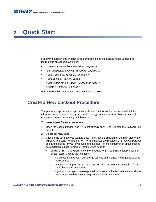# <span id="page-8-0"></span>**2 Quick Start**

Follow the steps in this chapter to quickly begin using the Lockout/Tagout app. For instructions on specific tasks see:

- *["Create a New Lockout Procedure" on page 3](#page-8-1)*.
- *["Edit an Existing Lockout Procedure" on page 4](#page-9-0)*.
- *["Print a Lockout Procedure" on page 7](#page-12-0)*.
- *["Print Lockout Tags" on page 8](#page-13-0)*.
- *["Print Labels for the Energy Sources" on page 7](#page-12-1)*.
- *["Create a Template" on page 8](#page-13-1)*.

For more detailed instructions refer to [Chapter 3:](#page-16-2) **[Tour](#page-16-2)**.

# <span id="page-8-1"></span>**Create a New Lockout Procedure**

The primary purpose of this app is to create and print lockout procedures with all the information necessary to safely secure the energy sources for a machine or piece of equipment before performing maintenance.

#### *To create a new lockout procedure:*

- 1. Open the Lockout/Tagout app if it is not already open. [See "Starting the Software" on](#page-7-5)  [page 2.](#page-7-5)
- 2. Select the **New** page.
- 3. Click on the template you want to use. A preview is displayed on the right side of the window. The Long Form and Short Form templates are provided by Brady Corporation as starting points for your own custom templates. For more information about creating custom templates see *["Create a Template" on page 8](#page-13-1)*.
	- **Long Form:** The long form is the more flexible form. It contains a detailed table of lockout steps. Choose the long form:
		- If a procedure involves many energy sources and images, and requires detailed lockout steps.
		- To create a comprehensive document with all of the information required for a particular lockout procedure.
		- If you want a single, complete procedure to use as a backup reference for shorter procedures that describe sub-steps of the overall procedure.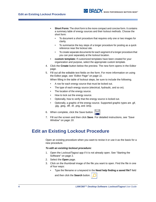- **Short Form:** The short form is the more compact and concise form. It contains a summary table of energy sources and their lockout methods. Choose the short form:
	- To document a short procedure that requires only one or two images for clarity.
	- To summarize the key steps of a longer procedure for posting as a quick reference near the lockout site.
	- To create separate documents for each segment of a longer procedure that you can post separately at the lockout location.
- **custom template:** If customized templates have been created for your organization and purpose, select the appropriate custom template.
- 4. Click the **Create** button below the preview. The new form opens in the Editor page.
- 5. Fill out all the editable text fields on the form. For more information on using the Editor page, see *["Editor Page" on page 11](#page-16-3)*.

When filling in the table of lockout steps, be sure to include the following.

- A row for each energy source that must be locked out.
- The type of each energy source (electrical, hydraulic, and so on).
- The location of the energy source.
- How to lock out the energy source.
- Optionally, how to verify that the energy source is locked out.
- Optionally, a graphic of the energy source. Supported graphic types are .gif, .jpg, .jpeg, .tiff, .tif, .png, and .bmp.
- 6. When complete, click the Save button.
- 7. Fill out the screen and then click **Save**. For detailed instructions, see *["Save](#page-24-1)  [Window" on page 19](#page-24-1)*.

# <span id="page-9-0"></span>**Edit an Existing Lockout Procedure**

Open an existing procedure when you want to revise it or use it as the basis for a new procedure.

#### *To edit an existing lockout procedure:*

- 1. Open the Lockout/Tagout app if it is not already open. [See "Starting the](#page-7-5)  [Software" on page 2.](#page-7-5)
- 2. Select the **Open** page.
- 3. Click on the thumbnail image of the file you want to open. Find the file in one of four ways:
	- Type the filename or a keyword in the **Need help finding a saved file?** field

and then click the **Search** button.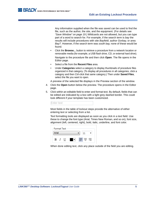Any information supplied when the file was saved can be used to find the file, such as the author, the site, and the equipment. (For details see *["Save Window" on page 19](#page-24-1)*.) Wildcards are not allowed, but you can type part of a word to search for. For example, if the search term is *bay* the results will include procedures with site *Bayfield*, author *Gorbay*, or area *Bay7*. However, if the search term was *south bay,* none of these would be found.

- Click the **Browse...** button to retrieve a procedure from a network location or removable media (for example, a USB flash drive, CD, or external hard drive). Navigate to the procedure file and then click **Open**. The file opens in the Editor page.
- Select a file from the **Recent Files** area.
- Under **Categories** select a category to display thumbnails of procedure files organized in that category. (To display all procedures in all categories, click a category and then Ctrl-click that same category.) Then under **Saved Files**, select the file you want to open.

A preview of the selected file displays in the Preview section of the window.

- 4. Click the **Open** button below the preview. The procedure opens in the Editor page.
- 5. Click within an editable field to enter and format text. By default, fields that can be edited are indicated by a box with a light grey dashed border. This could look different if your template has been customized.

| <b>Enter text</b> |  |  |  |  |
|-------------------|--|--|--|--|
|                   |  |  |  |  |
|                   |  |  |  |  |

Most fields in the table of lockout steps provide the alternative of either entering text or selecting from a list.

Text formatting tools are displayed as soon as you click in a text field. Use these to change the font type (Arial, Times New Roman, and so on), font size, alignment (left, centered, right), bold, italic, underline, and font color.

| Format Text |  |     |   |
|-------------|--|-----|---|
| Arial       |  |     |   |
| в           |  | $=$ | Ξ |

When done editing text, click any place outside of the field you are editing.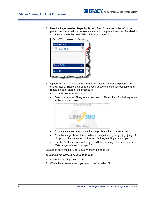6. Use the **Page Header**, **Steps Table**, and **Step #1** menus to the left of the procedure form to add or remove elements of the procedure form. For details about using the editor, see *["Editor Page" on page 11](#page-16-3)*.



- 7. Optionally, add (or change the number of) pictures of the equipment with energy labels. These pictures are placed above the lockout steps table and repeat on each page of the procedure.
	- Click the **Steps Table** button.
	- Select the number of images you want to add. Placeholders for the images are added as shown below.



- Click in the caption area above the image placeholder to enter a title.
- Click the image placeholder to select an image file of type .gif, .jpg, .jpeg, .tiff, .tif, .png, or .bmp and then click **Open**. An image editing window opens.
- Use the Edit Image window to adjust and label the image. For more details see *["Edit Image Window" on page 17](#page-22-1)*.

Be sure to save the file. [See "Save Window" on page 19.](#page-24-1)

#### *To close a file without saving changes:*

- 1. Close the tab displaying the file.
- 2. When the software asks if you want to save, select **No**.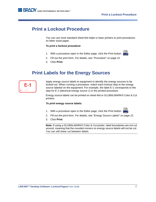# <span id="page-12-0"></span>**Print a Lockout Procedure**

You can use most standard sheet-fed inkjet or laser printers to print procedures on letter sized paper.

#### *To print a lockout procedure:*

- 1. With a procedure open in the Editor page, click the Print button.
- 2. Fill out the print form. For details, see *["Procedure" on page 21](#page-26-0)*.
- 3. Click **Print**.

# **Print Labels for the Energy Sources**

<span id="page-12-1"></span>

Apply energy source labels to equipment to identify the energy sources to be locked out. When running a procedure, match each lockout step to the energy source labeled on the equipment. For example, the label E-1 corresponds to the step for E-1 (electrical energy source 1) in the printed procedure.

Energy source labels can be printed on sheet-fed or GLOBALMARK® Color & Cut printers.

#### *To print energy source labels:*

1. With a procedure open in the Editor page, click the Print button.



3. Click **Print**.

**Note:** If using a GLOBALMARK® Color & Cut printer, label boundaries are not cut around, meaning that the rounded corners on energy source labels will not be cut. You can still shear cut between labels.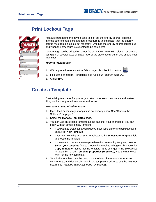# **Print Lockout Tags**

<span id="page-13-0"></span>

Affix a lockout tag to the device used to lock out the energy source. This tag informs others that a lockout/tagout procedure is taking place, that the energy source must remain locked out for safety, who has the energy source locked out, and when the procedure is expected to be completed.

Lockout tags can be printed on sheet-fed or GLOBALMARK® Color & Cut printers using any of several sizes of Brady label or tag stock designed for use on and near machines.

#### *To print lockout tags:*

1. With a procedure open in the Editor page, click the Print button.



- 2. Fill out the print form. For details, see *["Lockout Tags" on page 23](#page-28-0)*.
- 3. Click **Print**.

# <span id="page-13-1"></span>**Create a Template**

Customizing templates for your organization increases consistency and makes filling out lockout procedures faster and easier.

#### *To create a customized template:*

- 1. Open the Lockout/Tagout app if it is not already open. [See "Starting the](#page-7-5)  [Software" on page 2.](#page-7-5)
- 2. Select the **Manage Templates** page.
- 3. You can use an existing template as the basis for your changes or you can begin with an almost empty template.
	- If you want to create a new template without using an existing template as a base, click **New Template**.
	- If you want to modify an existing template, use the **Select your template** field to choose the template.
	- If you want to create a new template based on an existing template, use the **Select your template** field to choose the template to begin with. Then click **Copy Template**. Notice that the template name changes in the *Select your template* list. Under **Template properties (required)**, type the name you want for the new template.
- 4. To edit the template, use the controls in the left column to add or remove components, and double-click text in the template preview to edit the text. For details see *["Manage Templates Page" on page 25](#page-30-1)*.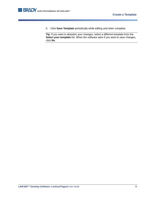5. Click **Save Template** periodically while editing and when complete.

**Tip:** If you want to abandon your changes, select a different template from the **Select your template** list. When the software asks if you want to save changes, click **No**.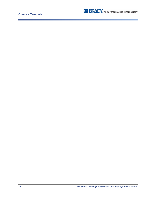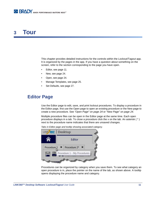# <span id="page-16-2"></span><span id="page-16-0"></span>**3 Tour**

This chapter provides detailed instructions for the controls within the Lockout/Tagout app. It is organized by the pages in the app. If you have a question about something on the screen, refer to the section corresponding to the page you have open.

- Editor, see [page 11](#page-16-1).
- New, see [page 24.](#page-29-0)
- Open, see [page 24.](#page-29-1)
- Manage Templates, see [page 25.](#page-30-0)
- Set Defaults, see [page 27](#page-32-2).

# <span id="page-16-3"></span><span id="page-16-1"></span>**Editor Page**

Use the Editor page to edit, save, and print lockout procedures. To display a procedure in the Editor page, first use the Open page to open an existing procedure or the New page to create a new procedure. See *["Open Page" on page 24](#page-29-1)* or *["New Page" on page 24](#page-29-0)*.

Multiple procedure files can be open in the Editor page at the same time. Each open procedure displays in a tab. To close a procedure click the x on the tab. An asterisk ( \* ) next to the procedure name indicates that there are unsaved changes.



*Tabs in Editor page and tooltip showing associated category.*

Procedures can be organized by category when you save them. To see what category an open procedure is in, place the pointer on the name of the tab, as shown above. A tooltip opens displaying the procedure name and category.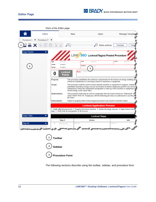

## **Editor Page**

|                                        | Parts of the Editor page.    |                                                       |                                                                                      |                                                                                                                                                                                                                                                                                       |
|----------------------------------------|------------------------------|-------------------------------------------------------|--------------------------------------------------------------------------------------|---------------------------------------------------------------------------------------------------------------------------------------------------------------------------------------------------------------------------------------------------------------------------------------|
| Editor                                 |                              | <b>New</b>                                            | Open                                                                                 | Manage Template                                                                                                                                                                                                                                                                       |
| Procedure 2* X<br>Procedure $1 \times$ |                              |                                                       |                                                                                      |                                                                                                                                                                                                                                                                                       |
| 1                                      |                              |                                                       | More actions:                                                                        | Translate<br>Trans                                                                                                                                                                                                                                                                    |
| Page Header                            |                              |                                                       | <b>INK 360 Lockout/Tagout Posted Procedure</b>                                       |                                                                                                                                                                                                                                                                                       |
|                                        | ID#<br>Created<br>6/14/2013  |                                                       | Feelth:<br>Enter text                                                                | Location<br>Enter text                                                                                                                                                                                                                                                                |
|                                        | <b>Revised:</b><br>0/14/2013 |                                                       | Desartation<br>з                                                                     |                                                                                                                                                                                                                                                                                       |
|                                        | 0                            | Note:<br><b>Lockout</b><br><b>Points</b>              |                                                                                      |                                                                                                                                                                                                                                                                                       |
|                                        | Purpose:                     |                                                       | whenever maintenance or servicing is done on machines or equipment.                  | This procedure establishes the minimum requirements for the lockout of energy isolating devid                                                                                                                                                                                         |
|                                        | Scope:                       | stored energy could cause injury.                     |                                                                                      | This procedure shall be used to ensure that the machine or equipment is stopped, isolated i<br>potentially hazardous energy sources and locked out before employees perform any servicing<br>maintenance where the unexpected energization or start-up of the machine or equipment of |
|                                        | Authorization:               | job roles>                                            |                                                                                      | This procedure shall only be used by employees that have been trained as "Authorized" en<br>under OSHA 1910.147. Employees with the following job roles are authorized to use this pl                                                                                                 |
|                                        | <b>Enforcement:</b>          |                                                       | Failure to properly follow lockout-tagout procedure may result in corrective action. |                                                                                                                                                                                                                                                                                       |
|                                        |                              |                                                       | <b>Lockout Application Process</b>                                                   |                                                                                                                                                                                                                                                                                       |
|                                        |                              | tags. 5. Verify total de-energization of all sources. |                                                                                      | 1. Notify affected personnel. 2. Properly shut down machine. 3. Isolate all energy sources. 4. Apply lockout devio                                                                                                                                                                    |
| <b>Steps Table</b>                     |                              |                                                       | <b>Lockout Steps</b>                                                                 |                                                                                                                                                                                                                                                                                       |
|                                        | Step $#$                     |                                                       | <b>Action</b>                                                                        | Info                                                                                                                                                                                                                                                                                  |
| Step #1                                | 1<br>Select step type        | Enter text                                            |                                                                                      | Enter text                                                                                                                                                                                                                                                                            |
|                                        |                              |                                                       |                                                                                      |                                                                                                                                                                                                                                                                                       |
|                                        |                              |                                                       |                                                                                      |                                                                                                                                                                                                                                                                                       |
|                                        | <b>Toolbar</b>               |                                                       |                                                                                      |                                                                                                                                                                                                                                                                                       |
|                                        | $\frac{2}{3}$ Sidebar        |                                                       |                                                                                      |                                                                                                                                                                                                                                                                                       |
|                                        |                              |                                                       |                                                                                      |                                                                                                                                                                                                                                                                                       |
|                                        | )<br>Procedure Form          |                                                       |                                                                                      |                                                                                                                                                                                                                                                                                       |
|                                        |                              |                                                       |                                                                                      |                                                                                                                                                                                                                                                                                       |

The following sections describe using the toolbar, sidebar, and procedure form.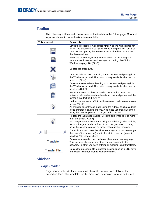# <span id="page-18-0"></span>**Toolbar**

The following buttons and controls are on the toolbar in the Editor page. Shortcut keys are shown in parenthesis where available.

| This control         | Does this                                                                                                                                                                                                                                                                                         |
|----------------------|---------------------------------------------------------------------------------------------------------------------------------------------------------------------------------------------------------------------------------------------------------------------------------------------------|
|                      | Saves the procedure. A separate window opens with settings for<br>saving the procedure. See "Save Window" on page 19. (Ctrl-S to<br>save without opening the Save window, Ctrl-Shift-S to save with<br>the Save window)                                                                           |
|                      | Prints the procedure, energy source labels, or lockout tags. A<br>separate window opens with settings for printing. See "Print<br>Window" on page 20. (Ctrl-P)                                                                                                                                    |
|                      | Deletes the procedure.                                                                                                                                                                                                                                                                            |
|                      | Cuts the selected text, removing it from the form and placing it in<br>the Windows clipboard. This button is only available when text is<br>selected.(Ctrl-X)                                                                                                                                     |
|                      | Copies the selected text, keeping it on the form and placing it in<br>the Windows clipboard. This button is only available when text is<br>selected. (Ctrl-C)                                                                                                                                     |
|                      | Pastes the text from the clipboard at the insertion point. This<br>button is only available when there is text in the clipboard and the<br>cursor is in a text field. (Ctrl-V)                                                                                                                    |
|                      | Undoes the last action. Click multiple times to undo more than one<br>action. (Ctrl-Z)<br>All changes except those made using the sidebar (such as adding<br>steps or images) can be undone. Also, once you make a change<br>using the sidebar, you can no longer undo prior edits.               |
|                      | Redoes the last undone action. Click multiple times to redo more<br>than one action. (Ctrl-Y)<br>All changes except those made using the sidebar (such as adding<br>steps or images) can be redone. Also, once you make a change<br>using the sidebar, you can no longer redo prior text changes. |
| Ð                    | Zooms in and out. Move the slider to the right to zoom in (enlarge<br>the view of the procedure) and to the left to zoom out (make it<br>smaller). (Ctrl-mouse wheel)                                                                                                                             |
| Translate            | Converts the standard text in the template to another language.<br>This includes labels and any other content supplied by the<br>software. Text that you have entered or modified is not translated.                                                                                              |
| <b>Transfer File</b> | Copies the procedure file to another location such as a USB drive<br>or network folder for sharing with a co-worker.                                                                                                                                                                              |

### <span id="page-18-1"></span>**Sidebar**

# *Page Header*

Page header refers to the information above the lockout steps table in the procedure form. The template, for the most part, determines what is and is not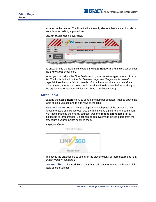included in the header. The Note field is the only element that you can include or exclude when editing a procedure.

*Location of Note field in a procedure.*

| DB.                              | <b>Ensertair</b>       |                     | Enter text               | <b>AAMAH</b> | Enter text |  |
|----------------------------------|------------------------|---------------------|--------------------------|--------------|------------|--|
| <b>Created</b><br><b>Replied</b> | 2010/019<br>2010/01/19 | <b>SIX SANDARA</b>  | sample for User's Manual |              |            |  |
|                                  | Lockout                | Note:<br>Enser text |                          |              |            |  |

To show or hide the Note field, expand the **Page Header** menu and select or clear the **Show Note** check box.

When you click within the *Note* field to edit it, you can either type or select from a list. The list is defined on the *Set Defaults* page, see *["Page Header Notes" on](#page-33-0)  [page 28](#page-33-0)*. Use the Note field to provide information about the equipment (for a boiler you might note that heat should be allowed to dissipate before working on the equipment) or about conditions (such as a confined space).

#### <span id="page-19-0"></span>*Steps Table*

Expand the **Steps Table** menu to control the number of header images above the table of lockout steps and to add rows to the table.

**Header Images.** Header images display on each page of the procedure just above the table of lockout steps. Use them to include a picture of the equipment with labels marking the energy sources. Use the **Images above table list** to include up to three images. Select zero to remove image placeholders from the procedure if your template supplied them.

*Image placeholder.*



To specify the graphics file to use, click the placeholder. For more details see *["Edit](#page-22-0)  [Image Window" on page 17](#page-22-0)*.

**Lockout Step.** Click **Add Step to Table** to add another row to the bottom of the table of lockout steps.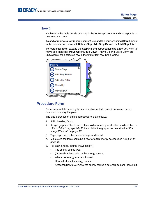#### <span id="page-20-1"></span>*Step #*

Each row in the table details one step in the lockout procedure and corresponds to one energy source.

To add or remove a row (energy source), expand the corresponding **Step #** menu in the sidebar and then click **Delete Step**, **Add Step Before**, or **Add Step After**.

To reorganize rows, expand the **Step #** menu corresponding to a row you want to move and then click **Move Up** or **Move Down**. (Move Up and Move Down are unavailable if the selected row is the first or last row in the table.)



### <span id="page-20-0"></span>**Procedure Form**

Because templates are highly customizable, not all content discussed here is available on every template.

The basic process of editing a procedure is as follows.

- 1. Fill in heading fields.
- 2. Assign graphics files to each placeholder (or add placeholders as described in *["Steps Table" on page 14](#page-19-0)*). Edit and label the graphic as described in *["Edit](#page-22-0)  [Image Window" on page 17](#page-22-0)*.
- 3. Type captions for the header images if desired.
- 4. Make sure the table contains a row for each energy source (see *["Step #" on](#page-20-1)  [page 15](#page-20-1)*).
- 5. For each energy source (row) specify:
	- The energy source type.
	- (Optional) A description of the energy source.
	- Where the energy source is located.
	- How to lock out the energy source.
	- (Optional) How to verify that the energy source is de-energized and locked out.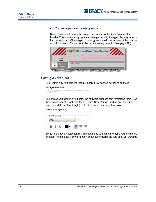• (Optional) A picture of the energy source.

**Note:** You cannot manually change the number of *Lockout Points* in the header. This automatically updates when you specify the type of energy source for a lockout step. (Some types of energy sources do not increment the number of lockout points. This is controlled when setting defaults. See [page 29](#page-34-1).)

| 2017019<br>Enter text<br><b>SIX SAMPLES</b> | Enser sed | <b>SAMPLES</b> | Enter text | <b>STATE</b> | <b>Contract</b> |  |
|---------------------------------------------|-----------|----------------|------------|--------------|-----------------|--|
|                                             |           |                |            |              |                 |  |
| <b><i><u>Report Follows</u></i></b>         |           |                |            |              | 20202013        |  |

### *Editing a Text Field*

Click within any text field marked by a light grey dashed border to edit text.

#### *Example text field.*

| <b>Enter text</b> |  |  |  |
|-------------------|--|--|--|
|                   |  |  |  |

As soon as you click in a text field, the software supplies text formatting tools. Use these to change the font type (Arial, Times New Roman, and so on), font size, alignment (left, centered, right), bold, italic, underline, and font color.

*Text formatting tools.*

|       | <b>Format Text</b> |          |   |
|-------|--------------------|----------|---|
| Arial |                    |          |   |
| R     | U                  | $\equiv$ | ≡ |

Some fields have a selection list. In these fields you can either type your own entry or select from the list. For information about customizing the lists see *["Set Defaults](#page-32-2)*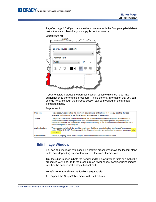*[Page" on page 27](#page-32-2)*. (If you translate the procedure, only the Brady-supplied default text is translated. Text that you supply is not translated.)



If your template includes the purpose section, specify which job roles have authorization to perform this procedure. This is the only information that you can change here, although the purpose section can be modified on the Manage Templates page.

#### *Purpose section.*

| Purpose:            | This procedure establishes the minimum requirements for the lockout of energy isolating devices<br>whenever maintenance or servicing is done on machines or equipment.                                                                                                                                                                          |  |  |  |  |
|---------------------|-------------------------------------------------------------------------------------------------------------------------------------------------------------------------------------------------------------------------------------------------------------------------------------------------------------------------------------------------|--|--|--|--|
| Scope:              | This procedure shall be used to ensure that the machine or equipment is stopped, isolated from all<br>potentially hazardous energy sources and locked out before employees perform any servicing or<br>maintenance where the unexpected energization or start-up of the machine or equipment or release of<br>stored energy could cause injury. |  |  |  |  |
| Authorization:      | This procedure shall only be used by employees that have been trained as "Authorized" employees<br>under OSHA 1910.147. Employees with the following job roles are authorized to use this procedure: < list<br>job roles>                                                                                                                       |  |  |  |  |
| <b>Enforcement:</b> | Failure to properly follow lockout-tagout procedure may result in corrective action.                                                                                                                                                                                                                                                            |  |  |  |  |

### <span id="page-22-1"></span><span id="page-22-0"></span>**Edit Image Window**

You can add images in two places in a lockout procedure: above the lockout steps table, and, depending on your template, in the steps themselves.

**Tip:** Including images in both the header and the lockout steps table can make the procedure very long. To fit the procedure on fewer pages, consider using images in either the header or the steps, but not both.

#### *To add an image above the lockout steps table:*

1. Expand the **Steps Table** menu in the left column.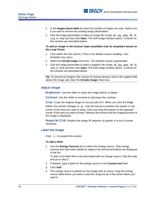- 2. In the **Images above table** list select the number of images you want. Select zero if you want to remove any existing image placeholders.
- 3. Click the image placeholder to select an image file of type .gif, .jpg, .jpeg, .tiff, .tif, .png, or .bmp and then click **Open**. The *Edit Image* window opens. Controls on this window are described below.

#### *To add an image in the lockout steps (available only for templates based on the Long Form):*

- 1. Click within the Info column. (This is the default column heading. Your template may vary.)
- 2. Select the **Include Image** check box. The software inserts a placeholder.
- 3. Click the image placeholder to select a graphics file of type .gif, .jpg, .jpeg, .tiff, .tif, .png, or .bmp and then click **Open**. The *Edit Image* window opens. Controls on this window are described below.

**Tip:** To remove an image in the column for lockout devices click in the caption field above the image and clear the **Include Image** check box.

### *Adjust image*

**Brightness:** Use the slider to make the image darker or lighter.

**Contrast:** Use the slider to increase or decrease the contrast.

**Crop:** Crops the original image to use just part of it. When you click the **Crop** button, the pointer changes to  $+$ . Use the mouse to position the pointer in one corner of the area you want to keep. Click and drag the pointer to the opposite corner of the part you want to keep. Release the mouse and the cropped portion of the image is displayed.

**Rotate 90 CCW:** Rotates the image 90 degrees (a quarter of a turn) counter clockwise.

### *Label the Image*

Click  $\left( \cdot \right)$  to expand this section.

#### *To add a label:*

1. Use the **Energy Sources** list to select the energy source. Only energy sources that have been added as steps in the lockout procedure are displayed in the list.

To add a text label that is not associated with an energy source, skip this step and go to [step 2.](#page-23-0)

- <span id="page-23-0"></span>2. If desired, type a label for the energy source in the **Custom text** field.
- 3. Click **Add**.
- 4. The energy source is placed on the image with an arrow. Drag the energy source label where you want it and then drag the tip of the arrow where you want it.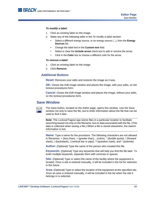#### *To modify a label:*

- 1. Click an existing label on the image.
- 2. Make any of the following edits in the *To modify a label* section:
	- Select a different energy source, or no energy source (...), from the **Energy Sources** list.
	- Change the label text in the **Custom text** field.
	- Select or clear the **Include arrow** check box to add or remove the arrow.
	- Click in the **Color** box to choose a different color for the arrow.

#### *To remove a label:*

- 1. Click an existing label on the image.
- 2. Click **Remove**.

#### *Additional Buttons*

**Reset:** Removes your edits and restores the image as it was.

**OK:** Closes the *Edit Image* window and places the image, with your edits, on the lockout procedures form.

**Cancel:** Closes the *Edit Image* window and places the image, without your edits, on the lockout procedures form.

### <span id="page-24-1"></span><span id="page-24-0"></span>**Save Window**

The Save button, located on the Editor page, opens this window. Use the Save window not only to save the file, but to enter information about the file that can be used to find it later.

**Note:** The Lockout/Tagout app stores files in a particular location to facilitate searching based not only on the filename, but on data associated with the file. (This data is collected when saving a file.) When a file is stored elsewhere, the search information is lost.

**Name:** Type a name for the procedure. The following characters are not allowed in filenames: < (less than), > (greater than), : (colon), " (double quote), / (forward slash), \ (backslash), | (vertical bar or pipe), ? (question mark), and \* (asterisk).

**Author:** (Optional) Type the name of the person who created this file.

**Keywords:** (Optional) Type any keywords that will help you find the file later. To enter multiple keywords, separate them with commas or spaces.

**Site:** (Optional) Type or select the name of the facility where the equipment is located. Once a site is entered manually, it will be included in the list for selection in the future.

**Area:** (Optional) Type or select the location of the equipment at the specified site. Once an area is entered manually, it will be included in the list when the site it belongs in is selected.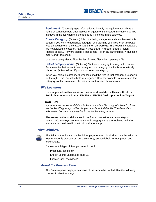**Equipment:** (Optional) Type information to identify the equipment, such as a name or serial number. Once a piece of equipment is entered manually, it will be included in the list when the site and area it belongs in are selected.

**Create Category:** (Optional) A list of existing categories is shown beneath this button. If you want to add a new category for organizing your files, click this button, type a new name for the category, and then click **Create**. The following characters are not allowed in category names: < (less than), > (greater than), : (colon), " (double quote), / (forward slash), \ (backslash), | (vertical bar or pipe), ? (question mark), and \* (asterisk).

Use these categories to filter the list of saved files when opening a file.

*Select category name:* (Optional) Click on a category to assign it to this file. For a new file that has not been assigned to a category, the file is automatically placed in *My Procedures* if you do not select a category.

When you select a category, thumbnails of all the files in that category are shown on the right. Use this list to help you organize files, for example, to make sure this category contains a related file that you want to keep this one with.

#### *File Locations*

Lockout procedure files are stored on the local hard disk in **Users > Public > Public Documents > Brady LINK360 > LINK360 Desktop > LockoutTagout**.

#### **CAUTION!**

*If you rename, move, or delete a lockout procedure file using Windows Explorer, the Lockout/Tagout app will no longer be able to find the file. The file and its information become unaccessible in the Lockout/Tagout app.* 

File names on the local drive are in the format *procedure name* + *category name*.L360, where *procedure name* and *category name* are replaced with the actual names assigned in the Lockout/Tagout app.

### <span id="page-25-0"></span>**Print Window**



The Print button, located on the Editor page, opens this window. Use this window to print not only procedures, but also energy source labels for equipment and lockout tags.

Choose which type of item you want to print.

- Procedure, see below.
- • [Energy Source Labels](#page-26-2), see [page 21.](#page-26-2)
- • [Lockout Tags,](#page-28-1) see [page 23](#page-28-1)

#### *About the Preview Pane*

The Preview pane displays an image of the item to be printed. Use the following controls to size the image.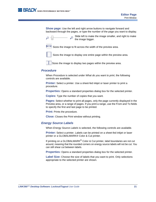**Show page:** Use the left and right arrow buttons to navigate forward and backward through the pages, or type the number of the page you want to display.

Slide left to make the image smaller, and right to make the image bigger.

Sizes the image to fit across the width of the preview area.



Sizes the image to display one entire page within the preview area.

Sizes the image to display two pages within the preview area.

#### <span id="page-26-0"></span>*Procedure*

When *Procedure* is selected under *What do you want to print*, the following controls are available.

**Printer:** Select a printer. Use a sheet-fed inkjet or laser printer to print a procedure.

**Properties:** Opens a standard properties dialog box for the selected printer.

**Copies:** Type the number of copies that you want.

**Pages:** Select whether to print all pages, only the page currently displayed in the Preview area, or a range of pages. If you print a range, use the From and To fields to specify the first and last page to be printed.

**Print:** Prints the procedure.

**Close:** Closes the *Print* window without printing.

#### <span id="page-26-2"></span><span id="page-26-1"></span>*Energy Source Labels*

When *Energy Source Labels* is selected, the following controls are available.

**Printer:** Select a printer. Labels can be printed on a sheet-fed inkjet or laser printer or a GLOBALMARK® Color & Cut printer.

If printing on a GLOBALMARK $^{\circledR}$  Color & Cut printer, label boundaries are not cut around, meaning that the rounded corners on energy source labels will not be cut. You can still shear cut between labels.

**Properties:** Opens a standard properties dialog box for the selected printer.

**Label Size:** Choose the size of labels that you want to print. Only selections appropriate to the selected printer are shown.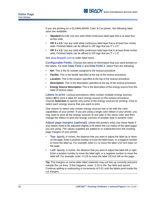If you are printing on a GLOBALMARK Color & Cut printer, the following label sizes are available:

- **Standard 4 x 1.5:** Use any solid white continuous label tape that is at least four inches wide.
- **VIP 4 x 2.5:** Use any solid white continuous label tape that is at least four inches wide. Finished labels can be affixed to VIP tags that are 4" x 2.5".
- **VIP 3 x 1.5:** Use any solid white continuous label tape that is at least three inches wide. Finished labels can be affixed to VIP tags that are 3" x 1.5".

See [www.BradyID.com](http://www.bradyid.com/) to order label stock.

**Configurable Fields:** Choose two items of information that you want printed on the labels. For both **Data Field 1** and **Data Field 2**, select from the following:

- **ID#:** This is the ID number assigned to the lockout procedure.
- **Facility:** This is the facility specified at the top of the lockout procedure.
- **Location:** This is the location specified at the top of the lockout procedure.
- **Description:** This is the description specified at the top of the lockout procedure.
- **Energy Source Description:** This is the description of the energy source from the table of lockout steps.

**Labels to print:** Lockout procedures often contain multiple energy sources. Select **All** to print a label for each energy source on the lockout procedure. Choose **Selection** to specify only some of the energy sources for printing. Click to select each energy source that you want to print.

One reason to select only certain energy sources has to do with the color capabilities of your printer. If you are using a single color ribbon in your printer, you may want to print all the energy sources of one type in the same color and then change the ribbon to print the energy sources of another type in another color.

**Adjust page margins (optional):** (sheet-fed printers only) Use these fields if your labels need to be adjusted slightly to fit within the cut marks of the label paper you are using. The values supplied are added to or subtracted from the existing page margins of your printer.

- **Top:** Specify, in inches, the distance that you want to adjust the label up or down on the page. Enter a positive number to move the label down, or a negative number to move the label up. For example, enter 0.1 to move the label 1/10 inch lower on the page.
- **Left:** Specify, in inches, the distance that you want to adjust the label left or right. Enter a positive number to move the label right, or a negative number to move the label left. For example, enter -0.125 to move the label 1/8 inch left on the page.

**Tip:** The margins on some older label materials may not line up correctly and print outside the cut lines. If this happens, enter -0.33 in the Top field and reprint. Continue adding or subtracting in increments of 0.01 until the labels print inside the cut margins.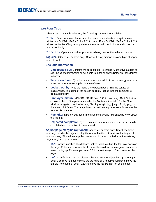### <span id="page-28-1"></span><span id="page-28-0"></span>*Lockout Tags*

When *Lockout Tags* is selected, the following controls are available.

**Printer:** Select a printer. Labels can be printed on a sheet-fed inkjet or laser printer or a GLOBALMARK Color & Cut printer. For a GLOBALMARK Color & Cut printer the Lockout/Tagout app detects the tape width and ribbon and sizes the tags accordingly.

**Properties:** Opens a standard properties dialog box for the selected printer.

**Tag size:** (Sheet-fed printers only) Choose the tag dimensions and type of paper you will print on.

#### **Lockout Information**

- **Date locked out:** Contains the current date. To change it, either type a date or click the calendar symbol to select a date from the calendar. Dates are in the format m/d/yyyy.
- **Time locked out:** Type the time at which you will lock out the energy source or leave the current time supplied by the software.
- **Locked out by:** Type the name of the person performing the service or maintenance. The name of the person currently logged in to the computer is displayed initially.
- **Employee picture:** (GLOBALMARK Color & Cut printer only) Click **Select** to choose a photo of the person named in the *Locked out by* field. On the *Open* window navigate to and select any file of type .gif, .jpg, .jpeg, .tiff, .tif, .png, or .bmp, and click **Open**. The image is resized to fit in the picture area. To remove the picture, click **Delete**.
- **Remarks:** Type any additional information that people might need to know about this lockout.
- **Expected completion:** Type a date and time when you expect the work to be completed and the lockout to be removed.

**Adjust page margins (optional):** (sheet-fed printers only) Use these fields if your tags need to be adjusted slightly to fit within the cut marks of the tag stock you are using. The values supplied are added to or subtracted from the existing page margins of your printer.

- **Top:** Specify, in inches, the distance that you want to adjust the tag up or down on the page. Enter a positive number to move the tag down, or a negative number to move the tag up. For example, enter 0.1 to move the tag 1/10 inch lower on the page.
- **Left:** Specify, in inches, the distance that you want to adjust the tag left or right. Enter a positive number to move the tag right, or a negative number to move the tag left. For example, enter -0.125 to move the tag 1/8 inch left on the page.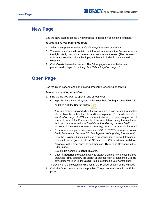# <span id="page-29-0"></span>**New Page**

Use the New page to create a new procedure based on an existing template.

#### *To create a new lockout procedure:*

- 1. Select a template from the *Available Templates* area on the left.
- 2. The new procedure will contain the information shown in the *Preview* area on the right. Verify that this is the template that you want to use. (The preview does not show the optional back page if that is included in the selected template.)
- 3. Click **Create** below the preview. The Editor page opens with the new procedure displayed for editing. See *["Editor Page" on page 11](#page-16-1)*.

# <span id="page-29-1"></span>**Open Page**

Use the Open page to open an existing procedure for editing or printing.

#### *To open an existing procedure:*

- 1. Find the file you want to open in one of four ways:
	- Type the filename or a keyword in the **Need help finding a saved file?** field

and then click the **Search** button.

Any information supplied when the file was saved can be used to find the file, such as the author, the site, and the equipment. (For details see *["Save](#page-24-0)  [Window" on page 19](#page-24-0)*.) Wildcards are not allowed, but you can type part of a word to search for. For example, if the search term is *bay* the results will include procedures with site *Bayfield*, author *Gorbay*, or area *Bay7*. However, if the search term was *south bay,* none of these would be found.

- Click **Import** to import a procedure from LOCKOUT-PRO software or from a Brady Professional Services CD. See *Appendix [A-"Importing Procedures"](#page-38-2)*.
- Click the **Browse...** button to retrieve a procedure from a network location or removable media (for example, a USB flash drive, CD, or external hard drive). Navigate to the procedure file and then click **Open**. The file opens in the Editor page.
- Select a file from the **Recent Files** area.
- Under **Categories** select a category to display thumbnails of procedure files organized in that category. (To display all procedures in all categories, Ctrl-click any category.) Then under **Saved Files**, select the file you want to open.

A preview of the selected file displays in the Preview section of the window.

2. Click the **Open** button below the preview. The procedure opens in the Editor page.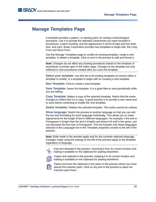# <span id="page-30-1"></span><span id="page-30-0"></span>**Manage Templates Page**

A template provides a pattern, or starting point, for writing a lockout/tagout procedure. Use it to provide the standard components you want included in procedures, custom wording, and the appearance in terms of logo and font style, size, and color. Brady Corporation provides two templates to begin with, the Long Form and Short Form.

Use the Manage Templates page to modify an existing template, create a new template, or delete a template. Click on text in the preview to edit and format it.

**Note:** Changes do not affect any existing procedures based on the template or procedures currently open in the Editor page. Changes to the template are only reflected in new procedures created after you save the template.

**Select your template:** Use this list of all existing templates to choose either a template to modify, or a template to begin with for creating a new template.

**New Template:** Click to create a new template.

**Save Template:** Saves the template. It is a good idea to save periodically while you are editing.

**Copy Template:** Makes a copy of the selected template. Notice that the name changes to reflect that it is a copy. A good practise is to provide a new name and to save before continuing to modify the new template.

**Delete Template:** Deletes the selected template. This action cannot be undone.

**Show language:** Switch the preview to another language so that you can edit the text and formatting for each language individually. This allows you to make adjustments for the length of text in different languages. For example, if the text in Portuguese is longer than the text in English and doesn't fit well in the space, you can decrease the font size in Portuguese. This list includes only those languages selected in the *Languages* list in the *Template properties* section to the left of the preview.

**Note:** Edits made in the preview apply only for the currently selected language. Changes made using the settings to the left of the preview apply to the template regardless of language.



Cuts text selected in the preview, removing it from its current location and making it available on the clipboard for pasting elsewhere.



Copies text selected in the preview, keeping it in its current location and making it available on the clipboard for pasting elsewhere.



Pastes text from the clipboard to the place in the preview where you have placed the insertion point. Click on any text in the preview to place the insertion point there.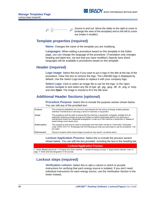Zooms in and out. Move the slider to the right to zoom in (enlarge the view of the template) and to the left to zoom out (make it smaller).

# <span id="page-31-0"></span>**Template properties (required)**

**Name:** Changes the name of the template you are modifying.

**Languages:** When editing a procedure based on this template in the Editor page, you can change the language of the procedure. (Translation only changes heading and label text, not text that you have modified.) Specify here which languages will be available in procedures based on this template.

## <span id="page-31-1"></span>**Header (required)**

**Logo image:** Select this box if you want to put a logo in the title at the top of the procedure. Clear this box to remove the logo. The LINK360 logo is displayed by default. Use the *Select Logo* button to replace it with your company logo.

**Select Logo:** Click to select an image file to use for the logo. In the *Open* window navigate to and select any file of type .gif, .jpg, .jpeg, .tiff, .tif, .png, or .bmp, and click **Open**. The image is resized to fit in the title area.

## <span id="page-31-2"></span>**Additional Header Sections (optional)**

**Procedure Purpose:** Select this to include the purpose section shown below. You can edit any of the provided text.

| Purpose:       | This procedure establishes the minimum requirements for the lockout of energy isolating devices<br>whenever maintenance or servicing is done on machines or equipment.                                                                                                                                                                          |
|----------------|-------------------------------------------------------------------------------------------------------------------------------------------------------------------------------------------------------------------------------------------------------------------------------------------------------------------------------------------------|
| Scope:         | This procedure shall be used to ensure that the machine or equipment is stopped, isolated from all<br>potentially hazardous energy sources and locked out before employees perform any servicing or<br>maintenance where the unexpected energization or start-up of the machine or equipment or release of<br>stored energy could cause injury. |
| Authorization: | This procedure shall only be used by employees that have been trained as "Authorized" employees<br>under OSHA 1910.147. Employees with the following job roles are authorized to use this procedure: <list<br>job roles&gt;</list<br>                                                                                                           |
| Enforcement:   | Failure to properly follow lockout-tagout procedure may result in corrective action.                                                                                                                                                                                                                                                            |

**Lockout Application Process:** Select this to include the process section shown below. You can edit the text provided, including the text in the heading bar.

**Lockout Application Process** 

1. Notify affected personnel. 2. Properly shut down machine. 3. Isolate all energy sources. 4. Apply lockout devices, locks, & tags. 5. Verify total de-energization of all sources.

## <span id="page-31-3"></span>**Lockout steps (required)**

**Verification column:** Select this to add a column in which to provide instructions for verifying that each energy source is isolated. If you don't need individual instructions for each energy source, use the Verification Section in the footer instead.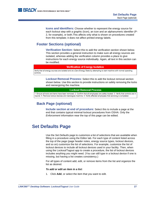**Icons and Identifiers:** Choose whether to represent the energy source for each lockout step with a graphic (Icon), an icon and an alphanumeric identifier (P-2, for example), or both.This affects only what is shown on procedures created from this template; it does not affect printed energy labels.

# <span id="page-32-0"></span>**Footer Sections (optional)**

**Verification Section:** Select this to add the verification section shown below. This section provides a general instruction to make sure all energy sources are isolated, whereas adding the verification column provides a place to give instructions for each energy source individually. Again, all text in this section can be modified.

**Verification of Energy Isolation** 

Verify that all energy sources are isolated and at a Zero Energy State by attempting to start machine with normal operating controls

> **Lockout Removal Process:** Select this to add the lockout removal section shown below. Use this section to provide instructions on safely removing the locks and reenergizing the machine.

#### **Lockout Removal Process**

1. Ensure all tools and items have been removed. 2. Confirm that all employees are safely located. 3. Verify that controls are in neutral. 4. Remove lockout devices and reenergize machine. 5. Notify affected employees that servicing is completed.

## <span id="page-32-1"></span>**Back Page (optional)**

**Include section at end of procedure:** Select this to include a page at the end that contains typical minimal lockout procedures from OSHA. Only the *Enforcement* information near the top of this page can be edited.

# <span id="page-32-3"></span><span id="page-32-2"></span>**Set Defaults Page**

Use the *Set Defaults* page to customize a list of selections that are available when filling in a procedure using the Editor tab. For each type of content listed across the top of the page (page header notes, energy source types, lockout devices, and so on) customize the list of selections. For example, customize the list of lockout devices to include all lockout devices used in your facility. Then, when using the Lockout/Tagout app to create a procedure, the list of lockout devices includes anything you might need. (You can still type in a lockout device if one is missing, but having a list creates consistency.)

For all types of content add, edit, or remove items from the list and organize the list as desired.

#### *To add or edit an item in a list:*

1. Click **Add**, or select the item that you want to edit.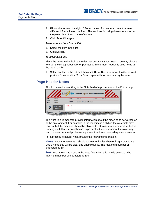- 2. Fill out the form on the right. Different types of procedure content require different information on the form. The sections following these steps discuss the particulars of each type of content.
- 3. Click **Save Changes**.

#### *To remove an item from a list:*

- 1. Select the item in the list.
- 2. Click **Delete**.

#### *To organize a list:*

Place the items in the list in the order that best suits your needs. You may choose to order the list alphabetically or perhaps with the most frequently used items at the top of the list.

1. Select an item in the list and then click **Up** or **Down** to move it to the desired position. You can click *Up* or *Down* repeatedly to keep moving the item.

### <span id="page-33-0"></span>**Page Header Notes**

This list is used when filling in the Note field of a procedure on the Editor page.

|                   | <b>Grounsen</b>          |       | Enter text               | <b>AAMAH</b> | Enter text |  |
|-------------------|--------------------------|-------|--------------------------|--------------|------------|--|
| <b>STATISTICS</b> | 2010/01/19<br>2010/019   |       | sample for User's Manual |              |            |  |
|                   | Lockout<br><b>Points</b> | Note: | Crear sed                |              |            |  |

The *Note* field is meant to provide information about the machine to be worked on or the environment. For example, if the machine is a chiller, the *Note* field may caution that the machine should be allowed to return to room temperature before working on it. If a chemical hazard is present in the environment the *Note* may warn to wear personal protective equipment and to ensure adequate ventilation.

For a procedure header note, provide the following information.

**Name:** Type the name as it should appear in the list when editing a procedure. Use a name that will be clear and unambiguous. The maximum number of characters is 50.

**Text:** Type the text to place in the Note field when this note is selected. The maximum number of characters is 500.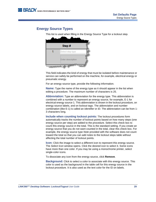# <span id="page-34-2"></span><span id="page-34-0"></span>**Energy Source Types**

This list is used when filling in the Energy Source Type for a lockout step.



This field indicates the kind of energy that must be isolated before maintenance or service can safely be performed on the machine, for example, electrical energy or pneumatic energy.

For an energy source type, provide the following information.

**Name:** Type the name of the energy type as it should appear in the list when editing a procedure. The maximum number of characters is 25.

**Abbreviation:** Type an abbreviation for the energy type. This abbreviation is combined with a number to represent an energy source, for example, E-1 for electrical energy source 1. This abbreviation is shown in the lockout procedure, on energy source labels, and on lockout tags. The abbreviation and number combination (like E-1) is called an *Identifier* or *ID*. The abbreviation can be from 1- 3 characters long.

<span id="page-34-1"></span>**Include when counting lockout points:** The lockout procedures form automatically tracks the number of lockout points based on how many steps (one energy source per step) are added to the procedure. Select this check box to count this energy source in the total. This is the standard setting. If you create an energy source that you do not want counted in the total, clear this check box. For example, the energy source type *Note* provided with the software does not count toward the total so that you can add notes to the lockout steps table without affecting the total number of lockout points.

**Icon:** Click the image to select a different icon to represent this energy source. The *Select Icon* window opens. Click the desired icon to select it. Some icons have more than one color. If you may be using a monochrome printer, select single-color icons.

To dissociate any icon from the energy source, click **Remove**.

**Background:** Click to select a color to associate with this energy source. This color is used as the background in the table cell for this energy source in the lockout procedure. It is also used as the text color for the ID on labels.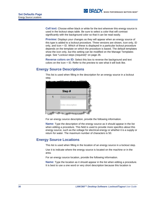**Cell text:** Choose either black or white for the text wherever this energy source is used in the lockout steps table. Be sure to select a color that will contrast significantly with the background color so that it can be read easily.

**Preview:** Displays your changes as they will appear when an energy source of this type is added to a lockout procedure. Three versions are shown, Icon only, ID only, and Icon + ID. Which of these is displayed in a particular lockout procedure depends on the template on which the procedure is based. The default templates show the icon only, but this setting can be modified on the Manage Templates page. [See "Lockout steps \(required\)" on page 26.](#page-31-3)

**Reverse colors on ID:** Select this box to reverse the background and text colors on the Icon + ID. Refer to the preview to see what it will look like.

### <span id="page-35-0"></span>**Energy Source Descriptions**

This list is used when filling in the description for an energy source in a lockout step.



For an energy source description, provide the following information.

**Name:** Type the description of the energy source as it should appear in the list when editing a procedure. This field is used to provide more specifics about this energy source, such as the voltage for electrical energy or whether it is a supply or return for water. The maximum number of characters is 50.

## <span id="page-35-1"></span>**Energy Source Locations**

This list is used when filling in the location of an energy source in a lockout step.

Use it to indicate where the energy source is located on the machine or in the area.

For an energy source location, provide the following information.

**Name:** Type the location as it should appear in the list when editing a procedure. It is best to use a one word or very short description because this location is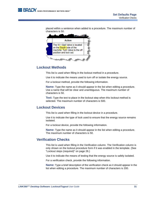placed within a sentence when added to a procedure. The maximum number of characters is 50.



### <span id="page-36-0"></span>**Lockout Methods**

This list is used when filling in the lockout method in a procedure.

Use it to indicate the means used to turn off or isolate the energy source.

For a lockout method, provide the following information.

**Name:** Type the name as it should appear in the list when editing a procedure. Use a name that will be clear and unambiguous. The maximum number of characters is 50.

**Text:** Type the text to place in the lockout step when this lockout method is selected. The maximum number of characters is 500.

### <span id="page-36-1"></span>**Lockout Devices**

This list is used when filling in the lockout device in a procedure.

Use it to indicate the type of lock used to ensure that the energy source remains isolated.

For a lockout device, provide the following information.

**Name:** Type the name as it should appear in the list when editing a procedure. The maximum number of characters is 50.

### <span id="page-36-2"></span>**Verification Checks**

This list is used when filling in the Verification column. The Verification column is only shown on the lockout procedure form if it was enabled in the template. [\(See](#page-31-3)  ["Lockout steps \(required\)" on page 26.\)](#page-31-3)

Use it to indicate the means of testing that the energy source is safely isolated.

For a verification check, provide the following information.

**Name:** Type a brief description of the verification check as it should appear in the list when editing a procedure. The maximum number of characters is 200.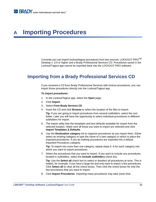# <span id="page-38-2"></span><span id="page-38-0"></span>**A Importing Procedures**

Currently you can import lockout/tagout procedures from two sources: LOCKOUT-PROTM Desktop v. 3.0 or higher and a Brady Professional Services CD. Procedures saved in the Lockout/Tagout app cannot be exported back into the LOCKOUT-PRO software.

# <span id="page-38-1"></span>**Importing from a Brady Professional Services CD**

If you received a CD from Brady Professional Services with lockout procedures, you can import those procedures directly into the Lockout/Tagout app.

#### *To import procedures:*

- 1. In the Lockout/Tagout app, select the **Open** page.
- 2. Click **Import**.
- 3. Select **From Brady Services CD**.
- 4. Insert the CD and click **Browse** to select the location of the files to import.

**Tip:** If you are going to import procedures from several subfolders, select the root folder. Later you will have the opportunity to select individual procedures in different subfolders for import.

- 5. The import utility lists the templates and text defaults available for import from the selected location. Make sure all those you want to import are selected and click **Import Templates & Defaults**.
- 6. Use the **Destination category** list to organize procedures as you import them. Either select an existing category or type the name of a new category in which to place the imported procedures. If you do nothing procedures are imported into a default *Imported Procedures* category.

**Tip:** To import into more than one category, repeat steps 6 -8 for each category into which you want to import procedures.

7. Select the procedures that you want to import. If you want to include any procedures located in subfolders, select the **Include subfolders** check box.

**Tip:** Use the **Select all** check box to select or deselect all procedures at once. This is helpful, for example, if you have a large list and only want to import a few procedures. Click **Select all** to clear all the check boxes. Then click the check boxes for only the few procedures that you want to import.

8. Click **Import Procedures**. Importing many procedures may take some time.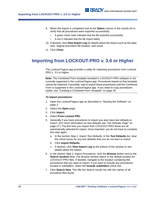- 9. When the import is completed look at the **Status** column in the results list to verify that all procedures were imported successfully.
	- A green check mark indicates that the file imported successfully.
	- A red X indicates that the file import failed.
- 10. If desired, click **View Import Log** for details about the import such as the date, time, original procedure file location, and result.
- 11. Click **Close**.

# <span id="page-39-0"></span>**Importing from LOCKOUT-PRO v. 3.0 or Higher**

The Lockout/Tagout app provides a utility for importing procedures from Lockout-PRO v. 3.0 or higher.

**Note:** The Combined Form template included in LOCKOUT-PRO software is not currently supported in the Lockout/Tagout app. Procedures based on that template cannot be imported. If possible, wait to import these procedures until the Combined Form is supported in the Lockout/Tagout app. If you need to copy procedures earlier, see *["Creating a Combined Form Template" on page 35](#page-40-1)*.

#### *To import procedures:*

- 1. Open the Lockout/Tagout app as described in *["Starting the Software" on](#page-7-5)  [page 2](#page-7-5)*.
- 2. Select the **Open** page.
- 3. Click **Import**.
- 4. Select **From Lockout PRO**.
- 5. Generally if you have procedures to import you also have text defaults to import. (For more information on text defaults see *["Set Defaults Page" on](#page-32-3)  [page 27](#page-32-3)*.) The first time you import from LOCKOUT-PRO these are all automatically selected for import. Once imported, you do not have to complete this step again.
	- a. In the section *Step 1: Import Text Defaults*, in the **Text Defaults** list, clear the check boxes for any text defaults that you do not want to import.
	- b. Click **Import Defaults**.
	- c. If desired, click **View Import Log** at the bottom of the window to see details about the import.
- 6. In the section *Step 2: Import Procedures*, click the **Browse** button next to the **Search location** field. The Browse window opens to the default location for LOCKOUT-PRO files. If needed, navigate to the location containing the procedures that you want to import. If you want to include any procedures located in subfolders, select the **Include subfolders** check box.
- 7. Click **Search Now**. This fills the *Search results* list with the names of all procedure files found.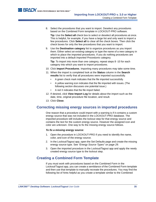8. Select the procedures that you want to import. Deselect any procedures based on the Combined Form template in LOCKOUT-PRO software.

**Tip:** Use the **Select all** check box to select or deselect all procedures at once. This is helpful, for example, if you have a large list and only want to import a few procedures. Click **Select all** to clear all the check boxes. Then click the check boxes for only the few procedures that you want to import.

9. Use the **Destination category** list to organize procedures as you import them. Either select an existing category or type the name of a new category in which to place the imported procedures. If you do nothing procedures are imported into a default *Imported Procedures* category.

**Tip:** To import into more than one category, repeat steps 8 -10 for each category into which you want to import procedures.

- 10. Click **Import Procedures**. Importing many procedures may take some time.
- 11. When the import is completed look at the **Status** column in the **Search results** list to verify that all procedures were imported successfully.
	- A green check mark indicates that the file imported successfully.
	- A yellow warning icon indicates that the file imported with issues. (The following section discusses one potential issue.)
	- A red X indicates that the file import failed.
- 12. If desired, click **View Import Log** for details about the import such as the date, time, original procedure file location, and result.
- 13. Click **Close**.

### <span id="page-40-0"></span>**Correcting missing energy sources in imported procedures**

One reason that a procedure could import with a warning is if it contains a custom energy source that was not included in the LOCKOUT-PRO database. The imported procedure still includes the lockout step for that energy source and contains the text for the custom energy source. However the assigned icon and color are unknown. One way to fix the missing energy source follows.

#### *To fix a missing energy source:*

- 1. Open the procedure in LOCKOUT-PRO if you need to identify the name, color, and icon of the energy source.
- 2. In the Lockout/Tagout app, open the Set Defaults page and create the missing energy source type. See *["Energy Source Types" on page 29](#page-34-2)*.
- 3. Open the imported procedure in the Lockout/Tagout app and apply the newly created energy source type to the lockout step.

## <span id="page-40-1"></span>**Creating a Combined Form Template**

If you must work with procedures based on the Combined Form in the Lockout/Tagout app, you can create a semblance of the Combined Form template and then use that template to manually recreate the procedures. You may find the following list of hints helpful as you create a template similar to the Combined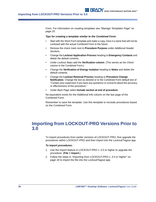Form. For information on creating templates see *["Manage Templates Page" on](#page-30-1)  [page 25](#page-30-1)*.

#### *Tips for creating a template similar to the Combined Form:*

- Start with the Short Form template and make a copy. Give it a name that will not be confused with the actual Combined Form in the future.
- Remove the check mark next to **Procedure Purpose** under *Additional Header Sections*.
- Change the **Lockout Application Process** heading to **Emergency Contacts** and delete the default contents.
- Under *Lockout Steps* add the **Verification column**. (This serves as the *Check* column in the Combined Form.)
- Change the **Verification of Energy Isolation** heading to **Notes** and delete the default contents.
- Change the **Lockout Removal Process** heading to **Procedure Change Notification**. Change the text as desired or to the Combined Form default text of "Contact your supervisor if you have any questions or concerns about the accuracy or effectiveness of this procedure."
- Under *Back Page* select **Include section at end of procedure**.

No equivalent exists for the *Additional Info* column on the last page of the Combined Form.

Remember to save the template. Use this template to recreate procedures based on the Combined Form.

# <span id="page-41-0"></span>**Importing from LOCKOUT-PRO Versions Prior to 3.0**

To import procedures from earlier versions of LOCKOUT-PRO, first upgrade the procedures within LOCKOUT-PRO and then import into the Lockout/Tagout app.

#### *To import procedures:*

- 1. Use the import feature in LOCKOUT-PRO v. 3.0 or higher to upgrade the procedure. (**File > Import.**)
- 2. Follow the steps in *["Importing from LOCKOUT-PRO v. 3.0 or Higher" on](#page-39-0)  [page 34](#page-39-0)* to import the file into the Lockout/Tagout app.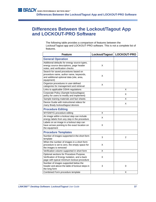# <span id="page-42-0"></span>**Differences Between the Lockout/Tagout App and LOCKOUT-PRO Software**

The following table provides a comparison of features between the Lockout/Tagout app and LOCKOUT-PRO software. This is not a complete list of features.

| <b>Feature</b>                                                                                                                            |   | Lockout/Tagout   LOCKOUT-PRO |
|-------------------------------------------------------------------------------------------------------------------------------------------|---|------------------------------|
| <b>General Operation</b>                                                                                                                  |   |                              |
| Additional defaults for energy source types,<br>energy source descriptions, page header<br>notes, and verification checks                 | X |                              |
| Search for saved procedures based on<br>procedure name, author name, keywords,<br>and additional optional data (site, area,<br>equipment) | X |                              |
| Organize procedures in user-defined<br>categories for management and retrieval                                                            | X |                              |
| Links to applicable OSHA regulations                                                                                                      |   | X                            |
| Corporate Policy (Sample lockout/tagout.<br>policy for users to modify and implement)                                                     |   | X                            |
| Sample training materials and fact sheets                                                                                                 |   | X                            |
| Device Guide with instructional videos for<br>many Brady lockout/tagout devices                                                           |   | X                            |
| <b>Procedure Editing</b>                                                                                                                  |   |                              |
| WYSIWYG procedure editing                                                                                                                 | X |                              |
| An image within a lockout step can include<br>energy labels from any step in the procedure.                                               | X |                              |
| Labels on an image in a lockout step can<br>have arrows pointing to the exact location on<br>the equipment                                | X |                              |
| <b>Procedure Templates</b>                                                                                                                |   |                              |
| Number of images supported in the short form<br>template                                                                                  | 3 | $\overline{c}$               |
| When the number of images in a short form<br>procedure is set to zero, the empty space for<br>the images is removed                       | X |                              |
| Verification column supported in short form                                                                                               | X |                              |
| Optional sections for Procedure Purpose,<br>Verification of Energy Isolation, and a back<br>page with typical minimum lockout procedure   | X |                              |
| Number of images supported below the<br>header and above the table of lockout steps in<br>the long form                                   | 3 | $\Omega$                     |
| Combined Form procedure template                                                                                                          |   | Χ                            |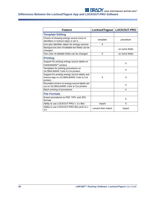### **Differences Between the Lockout/Tagout App and LOCKOUT-PRO Software**

| <b>Feature</b>                                                                                      |                     | Lockout/Tagout   LOCKOUT-PRO |
|-----------------------------------------------------------------------------------------------------|---------------------|------------------------------|
| <b>Template Editing</b>                                                                             |                     |                              |
| Choice of showing energy source icons or<br>identifiers in lockout steps is set in                  | template            | procedure                    |
| Icon plus identifier option for energy sources                                                      | X                   |                              |
| Background color of editable text fields can be<br>changed.                                         |                     | on some fields               |
| Text color of editable fields can be changed                                                        | X                   | on some fields               |
| <b>Printing</b>                                                                                     |                     |                              |
| Support for printing energy source labels on<br>HANDIMARK <sup>®</sup> printers                     |                     | X                            |
| Templates for printing procedures on<br><b>GLOBALMARK Color &amp; Cut printers</b>                  |                     | X                            |
| Support for printing energy source labels and<br>lockout tags on GLOBALMARK Color & Cut<br>printers | X                   | X                            |
| Rounded corners on energy source labels are<br>cut on GLOBALMARK Color & Cut printers               |                     | X                            |
| Batch printing of procedures                                                                        |                     | X                            |
| <b>File Formats</b>                                                                                 |                     |                              |
| Export procedures to PDF, TIFF, and JPG<br>formats                                                  |                     | X                            |
| Ability to use LOCKOUT-PRO v. 3.x files                                                             | import              | X                            |
| Ability to use LOCKOUT-PRO files prior to v.<br>3.0                                                 | convert then import | import                       |